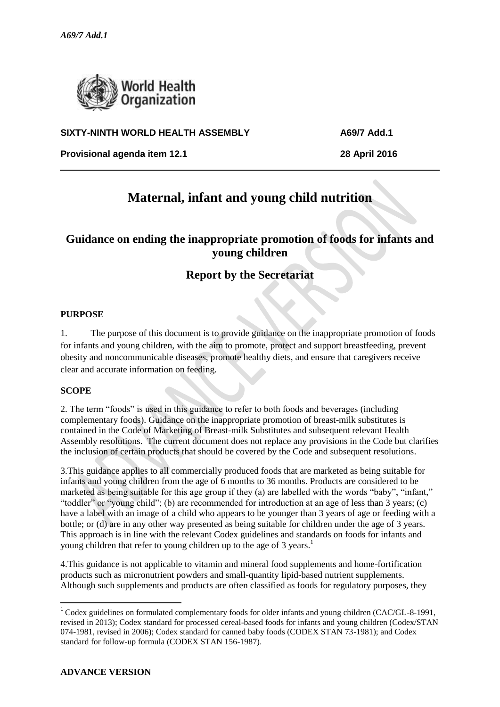

### **SIXTY-NINTH WORLD HEALTH ASSEMBLY A69/7 Add.1**

**Provisional agenda item 12.1 28 April 2016**

# **Maternal, infant and young child nutrition**

### **Guidance on ending the inappropriate promotion of foods for infants and young children**

## **Report by the Secretariat**

#### **PURPOSE**

1. The purpose of this document is to provide guidance on the inappropriate promotion of foods for infants and young children, with the aim to promote, protect and support breastfeeding, prevent obesity and noncommunicable diseases, promote healthy diets, and ensure that caregivers receive clear and accurate information on feeding.

#### **SCOPE**

**.** 

2. The term "foods" is used in this guidance to refer to both foods and beverages (including complementary foods). Guidance on the inappropriate promotion of breast-milk substitutes is contained in the Code of Marketing of Breast-milk Substitutes and subsequent relevant Health Assembly resolutions. The current document does not replace any provisions in the Code but clarifies the inclusion of certain products that should be covered by the Code and subsequent resolutions.

3.This guidance applies to all commercially produced foods that are marketed as being suitable for infants and young children from the age of 6 months to 36 months. Products are considered to be marketed as being suitable for this age group if they (a) are labelled with the words "baby", "infant," "toddler" or "young child"; (b) are recommended for introduction at an age of less than 3 years; (c) have a label with an image of a child who appears to be younger than 3 years of age or feeding with a bottle; or (d) are in any other way presented as being suitable for children under the age of 3 years. This approach is in line with the relevant Codex guidelines and standards on foods for infants and young children that refer to young children up to the age of 3 years.<sup>1</sup>

4.This guidance is not applicable to vitamin and mineral food supplements and home-fortification products such as micronutrient powders and small-quantity lipid-based nutrient supplements. Although such supplements and products are often classified as foods for regulatory purposes, they

<sup>&</sup>lt;sup>1</sup> Codex guidelines on formulated complementary foods for older infants and young children (CAC/GL-8-1991, revised in 2013); Codex standard for processed cereal-based foods for infants and young children (Codex/STAN 074-1981, revised in 2006); Codex standard for canned baby foods (CODEX STAN 73-1981); and Codex standard for follow-up formula (CODEX STAN 156-1987).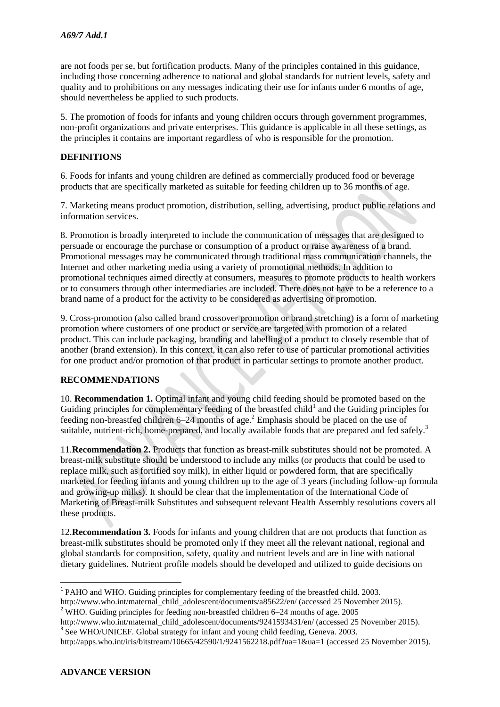are not foods per se, but fortification products. Many of the principles contained in this guidance, including those concerning adherence to national and global standards for nutrient levels, safety and quality and to prohibitions on any messages indicating their use for infants under 6 months of age, should nevertheless be applied to such products.

5. The promotion of foods for infants and young children occurs through government programmes, non-profit organizations and private enterprises. This guidance is applicable in all these settings, as the principles it contains are important regardless of who is responsible for the promotion.

#### **DEFINITIONS**

6. Foods for infants and young children are defined as commercially produced food or beverage products that are specifically marketed as suitable for feeding children up to 36 months of age.

7. Marketing means product promotion, distribution, selling, advertising, product public relations and information services.

8. Promotion is broadly interpreted to include the communication of messages that are designed to persuade or encourage the purchase or consumption of a product or raise awareness of a brand. Promotional messages may be communicated through traditional mass communication channels, the Internet and other marketing media using a variety of promotional methods. In addition to promotional techniques aimed directly at consumers, measures to promote products to health workers or to consumers through other intermediaries are included. There does not have to be a reference to a brand name of a product for the activity to be considered as advertising or promotion.

9. Cross-promotion (also called brand crossover promotion or brand stretching) is a form of marketing promotion where customers of one product or service are targeted with promotion of a related product. This can include packaging, branding and labelling of a product to closely resemble that of another (brand extension). In this context, it can also refer to use of particular promotional activities for one product and/or promotion of that product in particular settings to promote another product.

#### **RECOMMENDATIONS**

10. **Recommendation 1.** Optimal infant and young child feeding should be promoted based on the Guiding principles for complementary feeding of the breastfed child<sup>1</sup> and the Guiding principles for feeding non-breastfed children 6–24 months of age.<sup>2</sup> Emphasis should be placed on the use of suitable, nutrient-rich, home-prepared, and locally available foods that are prepared and fed safely.<sup>3</sup>

11.**Recommendation 2.** Products that function as breast-milk substitutes should not be promoted. A breast-milk substitute should be understood to include any milks (or products that could be used to replace milk, such as fortified soy milk), in either liquid or powdered form, that are specifically marketed for feeding infants and young children up to the age of 3 years (including follow-up formula and growing-up milks). It should be clear that the implementation of the International Code of Marketing of Breast-milk Substitutes and subsequent relevant Health Assembly resolutions covers all these products.

12.**Recommendation 3.** Foods for infants and young children that are not products that function as breast-milk substitutes should be promoted only if they meet all the relevant national, regional and global standards for composition, safety, quality and nutrient levels and are in line with national dietary guidelines. Nutrient profile models should be developed and utilized to guide decisions on

 $\overline{a}$ 

<sup>&</sup>lt;sup>1</sup> PAHO and WHO. Guiding principles for complementary feeding of the breastfed child. 2003.

http://www.who.int/maternal\_child\_adolescent/documents/a85622/en/ (accessed 25 November 2015).

<sup>&</sup>lt;sup>2</sup> WHO. Guiding principles for feeding non-breastfed children  $6-24$  months of age. 2005

http://www.who.int/maternal\_child\_adolescent/documents/9241593431/en/ (accessed 25 November 2015). <sup>3</sup> See WHO/UNICEF. Global strategy for infant and young child feeding, Geneva. 2003.

http://apps.who.int/iris/bitstream/10665/42590/1/9241562218.pdf?ua=1&ua=1 (accessed 25 November 2015).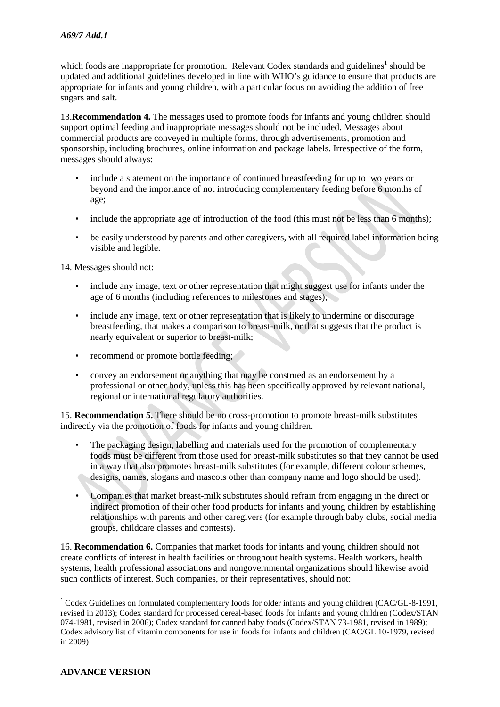which foods are inappropriate for promotion. Relevant Codex standards and guidelines<sup>1</sup> should be updated and additional guidelines developed in line with WHO's guidance to ensure that products are appropriate for infants and young children, with a particular focus on avoiding the addition of free sugars and salt.

13.**Recommendation 4.** The messages used to promote foods for infants and young children should support optimal feeding and inappropriate messages should not be included. Messages about commercial products are conveyed in multiple forms, through advertisements, promotion and sponsorship, including brochures, online information and package labels. Irrespective of the form, messages should always:

- include a statement on the importance of continued breastfeeding for up to two years or beyond and the importance of not introducing complementary feeding before 6 months of age;
- include the appropriate age of introduction of the food (this must not be less than 6 months);
- be easily understood by parents and other caregivers, with all required label information being visible and legible.

14. Messages should not:

- include any image, text or other representation that might suggest use for infants under the age of 6 months (including references to milestones and stages);
- include any image, text or other representation that is likely to undermine or discourage breastfeeding, that makes a comparison to breast-milk, or that suggests that the product is nearly equivalent or superior to breast-milk;
- recommend or promote bottle feeding:
- convey an endorsement or anything that may be construed as an endorsement by a professional or other body, unless this has been specifically approved by relevant national, regional or international regulatory authorities.

15. **Recommendation 5.** There should be no cross-promotion to promote breast-milk substitutes indirectly via the promotion of foods for infants and young children.

- The packaging design, labelling and materials used for the promotion of complementary foods must be different from those used for breast-milk substitutes so that they cannot be used in a way that also promotes breast-milk substitutes (for example, different colour schemes, designs, names, slogans and mascots other than company name and logo should be used).
- Companies that market breast-milk substitutes should refrain from engaging in the direct or indirect promotion of their other food products for infants and young children by establishing relationships with parents and other caregivers (for example through baby clubs, social media groups, childcare classes and contests).

16. **Recommendation 6.** Companies that market foods for infants and young children should not create conflicts of interest in health facilities or throughout health systems. Health workers, health systems, health professional associations and nongovernmental organizations should likewise avoid such conflicts of interest. Such companies, or their representatives, should not:

1

<sup>&</sup>lt;sup>1</sup> Codex Guidelines on formulated complementary foods for older infants and young children (CAC/GL-8-1991, revised in 2013); Codex standard for processed cereal-based foods for infants and young children (Codex/STAN 074-1981, revised in 2006); Codex standard for canned baby foods (Codex/STAN 73-1981, revised in 1989); Codex advisory list of vitamin components for use in foods for infants and children (CAC/GL 10-1979, revised in 2009)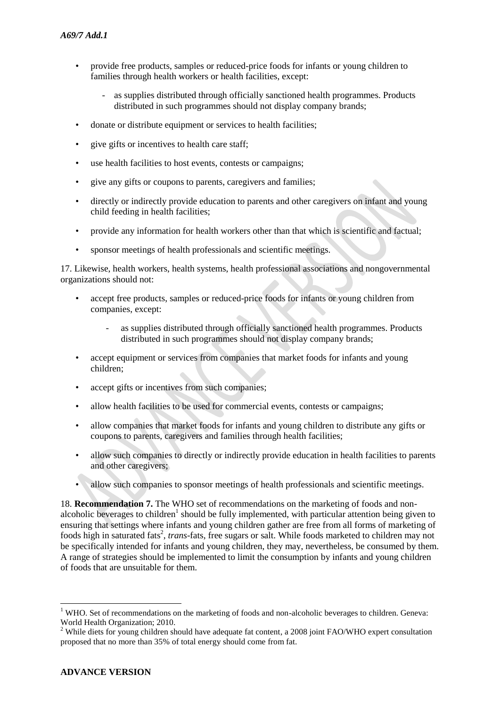- provide free products, samples or reduced-price foods for infants or young children to families through health workers or health facilities, except:
	- as supplies distributed through officially sanctioned health programmes. Products distributed in such programmes should not display company brands;
- donate or distribute equipment or services to health facilities:
- give gifts or incentives to health care staff;
- use health facilities to host events, contests or campaigns;
- give any gifts or coupons to parents, caregivers and families;
- directly or indirectly provide education to parents and other caregivers on infant and young child feeding in health facilities;
- provide any information for health workers other than that which is scientific and factual;
- sponsor meetings of health professionals and scientific meetings.

17. Likewise, health workers, health systems, health professional associations and nongovernmental organizations should not:

- accept free products, samples or reduced-price foods for infants or young children from companies, except:
	- as supplies distributed through officially sanctioned health programmes. Products distributed in such programmes should not display company brands;
- accept equipment or services from companies that market foods for infants and young children;
- accept gifts or incentives from such companies;
- allow health facilities to be used for commercial events, contests or campaigns;
- allow companies that market foods for infants and young children to distribute any gifts or coupons to parents, caregivers and families through health facilities;
- allow such companies to directly or indirectly provide education in health facilities to parents and other caregivers;
- allow such companies to sponsor meetings of health professionals and scientific meetings.

18. **Recommendation 7.** The WHO set of recommendations on the marketing of foods and nonalcoholic beverages to children<sup>1</sup> should be fully implemented, with particular attention being given to ensuring that settings where infants and young children gather are free from all forms of marketing of foods high in saturated fats<sup>2</sup>, *trans*-fats, free sugars or salt. While foods marketed to children may not be specifically intended for infants and young children, they may, nevertheless, be consumed by them. A range of strategies should be implemented to limit the consumption by infants and young children of foods that are unsuitable for them.

**.** 

<sup>&</sup>lt;sup>1</sup> WHO. Set of recommendations on the marketing of foods and non-alcoholic beverages to children. Geneva: World Health Organization; 2010.

<sup>&</sup>lt;sup>2</sup> While diets for young children should have adequate fat content, a 2008 joint FAO/WHO expert consultation proposed that no more than 35% of total energy should come from fat.